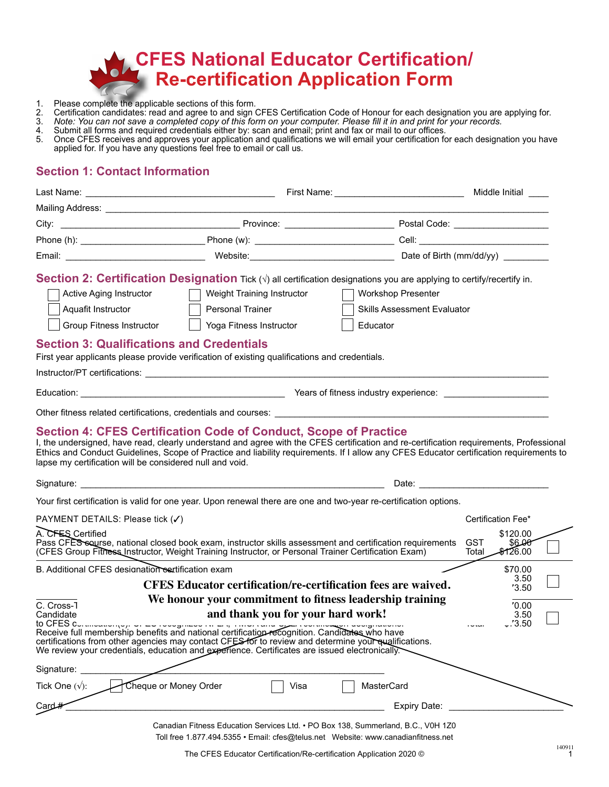

- 1. Please complete the applicable sections of this form.
- 2. Certification candidates: read and agree to and sign CFES Certification Code of Honour for each designation you are applying for.
- 3. *Note: You can not save a completed copy of this form on your computer. Please fill it in and print for your records.*
- 4. Submit all forms and required credentials either by: scan and email; print and fax or mail to our offices.
- 5. Once CFES receives and approves your application and qualifications we will email your certification for each designation you have applied for. If you have any questions feel free to email or call us.

### **Section 1: Contact Information**

| Last Name:                                                                                                                                                                                        |                                                                                                                                                                                                                                                                                                                                                                                                        | First Name: Name: Name and South Assembly Name and South Assembly Name and South Assembly Name and South Assembly |                                                                                                                                                                                                                                | Middle Initial                 |
|---------------------------------------------------------------------------------------------------------------------------------------------------------------------------------------------------|--------------------------------------------------------------------------------------------------------------------------------------------------------------------------------------------------------------------------------------------------------------------------------------------------------------------------------------------------------------------------------------------------------|-------------------------------------------------------------------------------------------------------------------|--------------------------------------------------------------------------------------------------------------------------------------------------------------------------------------------------------------------------------|--------------------------------|
|                                                                                                                                                                                                   |                                                                                                                                                                                                                                                                                                                                                                                                        |                                                                                                                   |                                                                                                                                                                                                                                |                                |
|                                                                                                                                                                                                   |                                                                                                                                                                                                                                                                                                                                                                                                        |                                                                                                                   |                                                                                                                                                                                                                                |                                |
|                                                                                                                                                                                                   |                                                                                                                                                                                                                                                                                                                                                                                                        |                                                                                                                   |                                                                                                                                                                                                                                |                                |
|                                                                                                                                                                                                   |                                                                                                                                                                                                                                                                                                                                                                                                        |                                                                                                                   |                                                                                                                                                                                                                                |                                |
| <b>Active Aging Instructor</b><br>Aquafit Instructor<br>Group Fitness Instructor<br><b>Section 3: Qualifications and Credentials</b>                                                              | <b>Section 2: Certification Designation</b> Tick $(\sqrt{})$ all certification designations you are applying to certify/recertify in.<br>Weight Training Instructor<br>Personal Trainer<br>Yoga Fitness Instructor<br>First year applicants please provide verification of existing qualifications and credentials.                                                                                    | <b>Workshop Presenter</b><br><b>Skills Assessment Evaluator</b><br>Educator                                       |                                                                                                                                                                                                                                |                                |
|                                                                                                                                                                                                   | <b>Section 4: CFES Certification Code of Conduct, Scope of Practice</b><br>I, the undersigned, have read, clearly understand and agree with the CFES certification and re-certification requirements, Professional<br>Ethics and Conduct Guidelines, Scope of Practice and liability requirements. If I allow any CFES Educator certification requirements to                                          |                                                                                                                   |                                                                                                                                                                                                                                |                                |
|                                                                                                                                                                                                   |                                                                                                                                                                                                                                                                                                                                                                                                        |                                                                                                                   |                                                                                                                                                                                                                                |                                |
|                                                                                                                                                                                                   |                                                                                                                                                                                                                                                                                                                                                                                                        |                                                                                                                   | Date: the contract of the contract of the contract of the contract of the contract of the contract of the contract of the contract of the contract of the contract of the contract of the contract of the contract of the cont |                                |
|                                                                                                                                                                                                   | Your first certification is valid for one year. Upon renewal there are one and two-year re-certification options.                                                                                                                                                                                                                                                                                      |                                                                                                                   |                                                                                                                                                                                                                                |                                |
|                                                                                                                                                                                                   | Pass CFES sourse, national closed book exam, instructor skills assessment and certification requirements<br>(CFES Group Fitness Instructor, Weight Training Instructor, or Personal Trainer Certification Exam)                                                                                                                                                                                        |                                                                                                                   | Certification Fee*<br><b>GST</b><br>Total                                                                                                                                                                                      | \$120.00<br>\$6.OO<br>\$126.00 |
|                                                                                                                                                                                                   |                                                                                                                                                                                                                                                                                                                                                                                                        |                                                                                                                   |                                                                                                                                                                                                                                | \$70.00                        |
|                                                                                                                                                                                                   | <b>CFES Educator certification/re-certification fees are waived.</b>                                                                                                                                                                                                                                                                                                                                   |                                                                                                                   |                                                                                                                                                                                                                                | 3.50<br>'3.50                  |
| lapse my certification will be considered null and void.<br>PAYMENT DETAILS: Please tick (√)<br>A. CFES Certified<br>B. Additional CFES designation escrification exam<br>C. Cross-T<br>Candidate | We honour your commitment to fitness leadership training<br>and thank you for your hard work!<br>Receive full membership benefits and national certification recognition. Candidates who have<br>certifications from other agencies may contact CFES for to review and determine your qualifications.<br>We review your credentials, education and experience. Certificates are issued electronically. |                                                                                                                   | $1 - 1$                                                                                                                                                                                                                        | '0.00<br>3.50<br>$-7.3.50$     |
|                                                                                                                                                                                                   |                                                                                                                                                                                                                                                                                                                                                                                                        |                                                                                                                   |                                                                                                                                                                                                                                |                                |
| Signature:<br>Tick One $(\sqrt{)}$ :                                                                                                                                                              | Cheque or Money Order<br>Visa                                                                                                                                                                                                                                                                                                                                                                          | MasterCard                                                                                                        |                                                                                                                                                                                                                                |                                |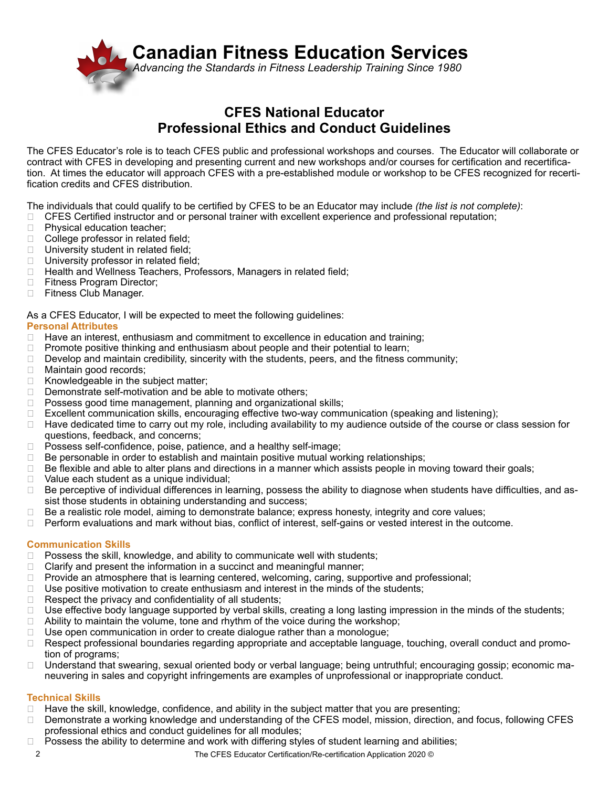

### **CFES National Educator Professional Ethics and Conduct Guidelines**

The CFES Educator's role is to teach CFES public and professional workshops and courses. The Educator will collaborate or contract with CFES in developing and presenting current and new workshops and/or courses for certification and recertification. At times the educator will approach CFES with a pre-established module or workshop to be CFES recognized for recertification credits and CFES distribution.

The individuals that could qualify to be certified by CFES to be an Educator may include *(the list is not complete)*:

- ❑ CFES Certified instructor and or personal trainer with excellent experience and professional reputation;
- □ Physical education teacher;
- ❑ College professor in related field;
- □ University student in related field;
- □ University professor in related field;
- ❑ Health and Wellness Teachers, Professors, Managers in related field;
- ❑ Fitness Program Director;
- □ Fitness Club Manager.

As a CFES Educator, I will be expected to meet the following guidelines:

#### **Personal Attributes**

- □ Have an interest, enthusiasm and commitment to excellence in education and training;
- □ Promote positive thinking and enthusiasm about people and their potential to learn;
- ❑ Develop and maintain credibility, sincerity with the students, peers, and the fitness community;
- ❑ Maintain good records;
- ❑ Knowledgeable in the subject matter;
- ❑ Demonstrate self-motivation and be able to motivate others;
- □ Possess good time management, planning and organizational skills;
- ❑ Excellent communication skills, encouraging effective two-way communication (speaking and listening);
- ❑ Have dedicated time to carry out my role, including availability to my audience outside of the course or class session for questions, feedback, and concerns;
- □ Possess self-confidence, poise, patience, and a healthy self-image;
- ❑ Be personable in order to establish and maintain positive mutual working relationships;
- ❑ Be flexible and able to alter plans and directions in a manner which assists people in moving toward their goals;
- □ Value each student as a unique individual;
- □ Be perceptive of individual differences in learning, possess the ability to diagnose when students have difficulties, and assist those students in obtaining understanding and success;
- ❑ Be a realistic role model, aiming to demonstrate balance; express honesty, integrity and core values;
- ❑ Perform evaluations and mark without bias, conflict of interest, self-gains or vested interest in the outcome.

# **Communication Skills**

- Possess the skill, knowledge, and ability to communicate well with students;
- □ Clarify and present the information in a succinct and meaningful manner;
- □ Provide an atmosphere that is learning centered, welcoming, caring, supportive and professional;
- ❑ Use positive motivation to create enthusiasm and interest in the minds of the students;
- ❑ Respect the privacy and confidentiality of all students;
- ❑ Use effective body language supported by verbal skills, creating a long lasting impression in the minds of the students;  $\Box$  Ability to maintain the volume, tone and rhythm of the voice during the workshop;
- ❑ Use open communication in order to create dialogue rather than a monologue;
- □ Respect professional boundaries regarding appropriate and acceptable language, touching, overall conduct and promotion of programs;
- ❑ Understand that swearing, sexual oriented body or verbal language; being untruthful; encouraging gossip; economic maneuvering in sales and copyright infringements are examples of unprofessional or inappropriate conduct.

### **Technical Skills**

- ❑ Have the skill, knowledge, confidence, and ability in the subject matter that you are presenting;
- □ Demonstrate a working knowledge and understanding of the CFES model, mission, direction, and focus, following CFES professional ethics and conduct guidelines for all modules;
- □ Possess the ability to determine and work with differing styles of student learning and abilities;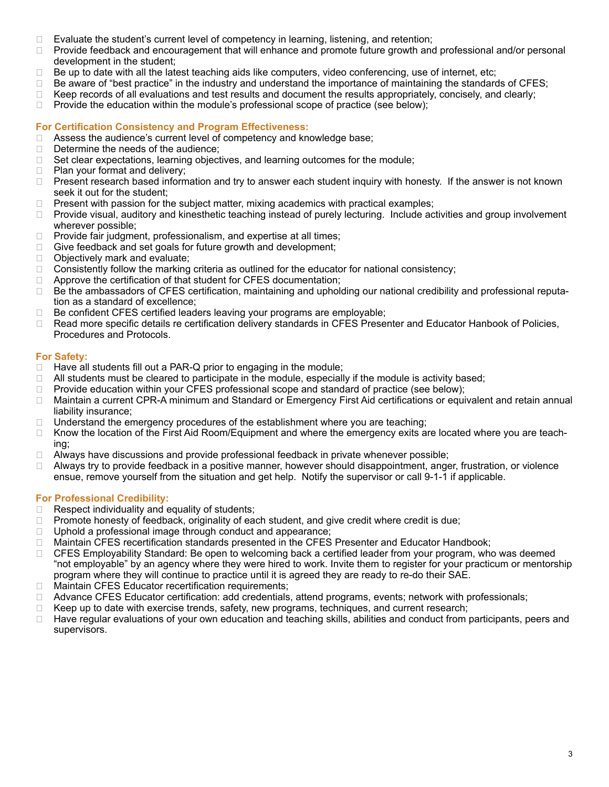- ❑ Evaluate the student's current level of competency in learning, listening, and retention;
- □ Provide feedback and encouragement that will enhance and promote future growth and professional and/or personal development in the student;
- ❑ Be up to date with all the latest teaching aids like computers, video conferencing, use of internet, etc;
- ❑ Be aware of "best practice" in the industry and understand the importance of maintaining the standards of CFES;
- $\Box$  Keep records of all evaluations and test results and document the results appropriately, concisely, and clearly;
- $\Box$  Provide the education within the module's professional scope of practice (see below);

### **For Certification Consistency and Program Effectiveness:**

- □ Assess the audience's current level of competency and knowledge base;
- □ Determine the needs of the audience;
- ❑ Set clear expectations, learning objectives, and learning outcomes for the module;
- ❑ Plan your format and delivery;
- □ Present research based information and try to answer each student inquiry with honesty. If the answer is not known seek it out for the student;
- □ Present with passion for the subject matter, mixing academics with practical examples;
- □ Provide visual, auditory and kinesthetic teaching instead of purely lecturing. Include activities and group involvement wherever possible;
- □ Provide fair judgment, professionalism, and expertise at all times;
- ❑ Give feedback and set goals for future growth and development;
- ❑ Objectively mark and evaluate;
- ❑ Consistently follow the marking criteria as outlined for the educator for national consistency;
- □ Approve the certification of that student for CFES documentation;
- ❑ Be the ambassadors of CFES certification, maintaining and upholding our national credibility and professional reputation as a standard of excellence;
- ❑ Be confident CFES certified leaders leaving your programs are employable;
- ❑ Read more specific details re certification delivery standards in CFES Presenter and Educator Hanbook of Policies, Procedures and Protocols.

#### **For Safety:**

- $\Box$  Have all students fill out a PAR-Q prior to engaging in the module;
- $\Box$  All students must be cleared to participate in the module, especially if the module is activity based;
- □ Provide education within your CFES professional scope and standard of practice (see below);
- ❑ Maintain a current CPR-A minimum and Standard or Emergency First Aid certifications or equivalent and retain annual liability insurance;
- $\Box$  Understand the emergency procedures of the establishment where you are teaching;
- ❑ Know the location of the First Aid Room/Equipment and where the emergency exits are located where you are teaching;
- ❑ Always have discussions and provide professional feedback in private whenever possible;
- ❑ Always try to provide feedback in a positive manner, however should disappointment, anger, frustration, or violence ensue, remove yourself from the situation and get help. Notify the supervisor or call 9-1-1 if applicable.

### **For Professional Credibility:**

- ❑ Respect individuality and equality of students;
- ❑ Promote honesty of feedback, originality of each student, and give credit where credit is due;
- □ Uphold a professional image through conduct and appearance;
- ❑ Maintain CFES recertification standards presented in the CFES Presenter and Educator Handbook;
- ❑ CFES Employability Standard: Be open to welcoming back a certified leader from your program, who was deemed "not employable" by an agency where they were hired to work. Invite them to register for your practicum or mentorship program where they will continue to practice until it is agreed they are ready to re-do their SAE.
- □ Maintain CFES Educator recertification requirements;
- ❑ Advance CFES Educator certification: add credentials, attend programs, events; network with professionals;
- ❑ Keep up to date with exercise trends, safety, new programs, techniques, and current research;
- ❑ Have regular evaluations of your own education and teaching skills, abilities and conduct from participants, peers and supervisors.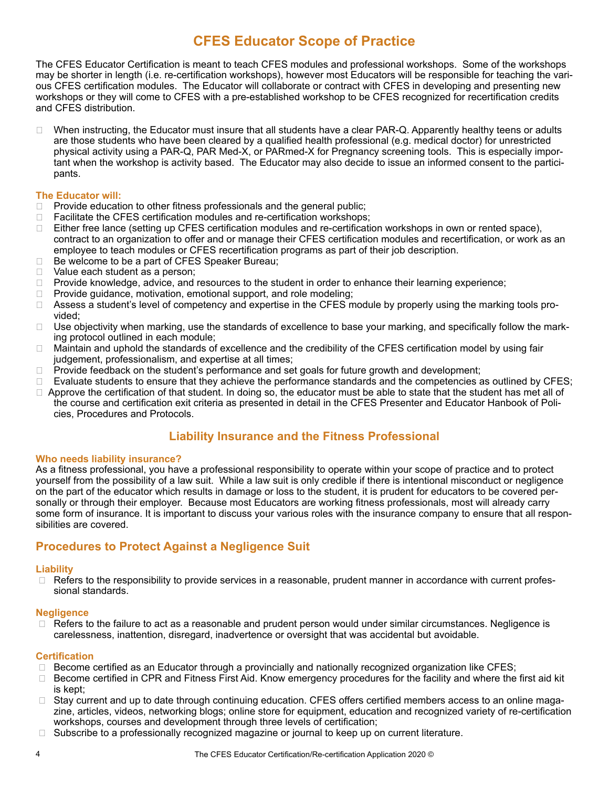## **CFES Educator Scope of Practice**

The CFES Educator Certification is meant to teach CFES modules and professional workshops. Some of the workshops may be shorter in length (i.e. re-certification workshops), however most Educators will be responsible for teaching the various CFES certification modules. The Educator will collaborate or contract with CFES in developing and presenting new workshops or they will come to CFES with a pre-established workshop to be CFES recognized for recertification credits and CFES distribution.

❑ When instructing, the Educator must insure that all students have a clear PAR-Q. Apparently healthy teens or adults are those students who have been cleared by a qualified health professional (e.g. medical doctor) for unrestricted physical activity using a PAR-Q, PAR Med-X, or PARmed-X for Pregnancy screening tools. This is especially important when the workshop is activity based. The Educator may also decide to issue an informed consent to the participants.

### **The Educator will:**

- □ Provide education to other fitness professionals and the general public;
- ❑ Facilitate the CFES certification modules and re-certification workshops;
- ❑ Either free lance (setting up CFES certification modules and re-certification workshops in own or rented space), contract to an organization to offer and or manage their CFES certification modules and recertification, or work as an employee to teach modules or CFES recertification programs as part of their job description.
- ❑ Be welcome to be a part of CFES Speaker Bureau;
- □ Value each student as a person;
- ❑ Provide knowledge, advice, and resources to the student in order to enhance their learning experience;
- □ Provide guidance, motivation, emotional support, and role modeling;
- □ Assess a student's level of competency and expertise in the CFES module by properly using the marking tools provided;
- ❑ Use objectivity when marking, use the standards of excellence to base your marking, and specifically follow the marking protocol outlined in each module;
- ❑ Maintain and uphold the standards of excellence and the credibility of the CFES certification model by using fair judgement, professionalism, and expertise at all times;
- □ Provide feedback on the student's performance and set goals for future growth and development;
- ❑ Evaluate students to ensure that they achieve the performance standards and the competencies as outlined by CFES;
- □ Approve the certification of that student. In doing so, the educator must be able to state that the student has met all of the course and certification exit criteria as presented in detail in the CFES Presenter and Educator Hanbook of Policies, Procedures and Protocols.

### **Liability Insurance and the Fitness Professional**

### **Who needs liability insurance?**

As a fitness professional, you have a professional responsibility to operate within your scope of practice and to protect yourself from the possibility of a law suit. While a law suit is only credible if there is intentional misconduct or negligence on the part of the educator which results in damage or loss to the student, it is prudent for educators to be covered personally or through their employer. Because most Educators are working fitness professionals, most will already carry some form of insurance. It is important to discuss your various roles with the insurance company to ensure that all responsibilities are covered.

### **Procedures to Protect Against a Negligence Suit**

### **Liability**

□ Refers to the responsibility to provide services in a reasonable, prudent manner in accordance with current professional standards.

#### **Negligence**

□ Refers to the failure to act as a reasonable and prudent person would under similar circumstances. Negligence is carelessness, inattention, disregard, inadvertence or oversight that was accidental but avoidable.

### **Certification**

- □ Become certified as an Educator through a provincially and nationally recognized organization like CFES;
- ❑ Become certified in CPR and Fitness First Aid. Know emergency procedures for the facility and where the first aid kit is kept;
- ❑ Stay current and up to date through continuing education. CFES offers certified members access to an online magazine, articles, videos, networking blogs; online store for equipment, education and recognized variety of re-certification workshops, courses and development through three levels of certification;
- □ Subscribe to a professionally recognized magazine or journal to keep up on current literature.